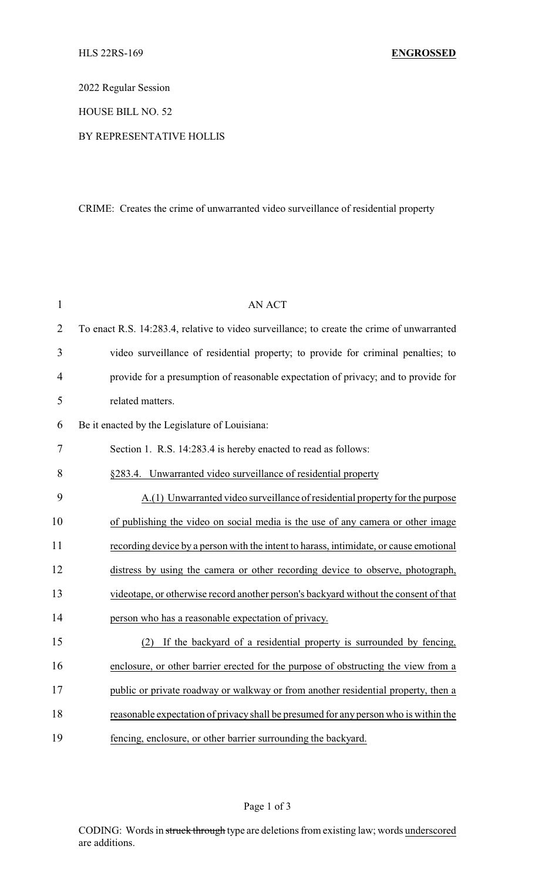2022 Regular Session

HOUSE BILL NO. 52

## BY REPRESENTATIVE HOLLIS

## CRIME: Creates the crime of unwarranted video surveillance of residential property

| $\mathbf{1}$   | <b>AN ACT</b>                                                                              |
|----------------|--------------------------------------------------------------------------------------------|
| $\overline{2}$ | To enact R.S. 14:283.4, relative to video surveillance; to create the crime of unwarranted |
| 3              | video surveillance of residential property; to provide for criminal penalties; to          |
| 4              | provide for a presumption of reasonable expectation of privacy; and to provide for         |
| 5              | related matters.                                                                           |
| 6              | Be it enacted by the Legislature of Louisiana:                                             |
| 7              | Section 1. R.S. 14:283.4 is hereby enacted to read as follows:                             |
| 8              | §283.4. Unwarranted video surveillance of residential property                             |
| 9              | A.(1) Unwarranted video surveillance of residential property for the purpose               |
| 10             | of publishing the video on social media is the use of any camera or other image            |
| 11             | recording device by a person with the intent to harass, intimidate, or cause emotional     |
| 12             | distress by using the camera or other recording device to observe, photograph,             |
| 13             | videotape, or otherwise record another person's backyard without the consent of that       |
| 14             | person who has a reasonable expectation of privacy.                                        |
| 15             | If the backyard of a residential property is surrounded by fencing,<br>(2)                 |
| 16             | enclosure, or other barrier erected for the purpose of obstructing the view from a         |
| 17             | public or private roadway or walkway or from another residential property, then a          |
| 18             | reasonable expectation of privacy shall be presumed for any person who is within the       |
| 19             | fencing, enclosure, or other barrier surrounding the backyard.                             |

Page 1 of 3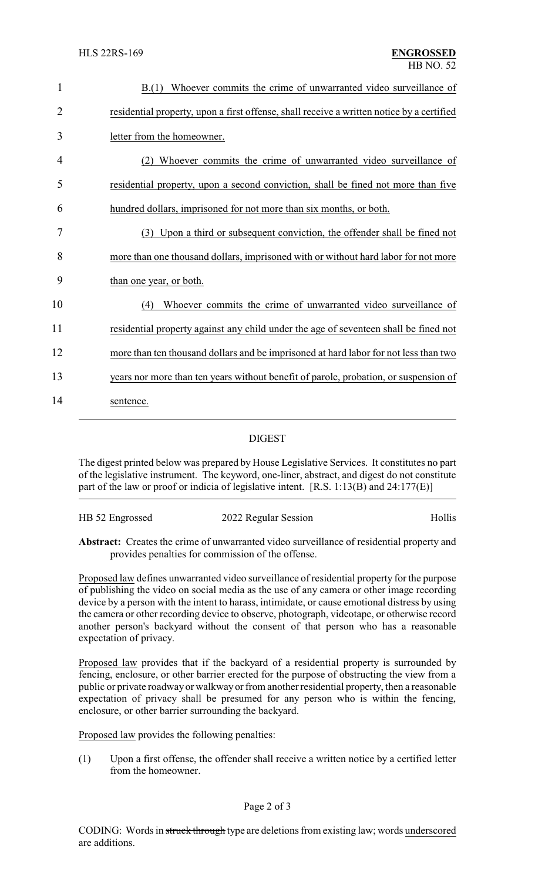| $\mathbf{1}$   | B.(1) Whoever commits the crime of unwarranted video surveillance of                      |
|----------------|-------------------------------------------------------------------------------------------|
| $\overline{2}$ | residential property, upon a first offense, shall receive a written notice by a certified |
| 3              | letter from the homeowner.                                                                |
| 4              | Whoever commits the crime of unwarranted video surveillance of                            |
| 5              | residential property, upon a second conviction, shall be fined not more than five         |
| 6              | hundred dollars, imprisoned for not more than six months, or both.                        |
| 7              | Upon a third or subsequent conviction, the offender shall be fined not<br>(3)             |
| 8              | more than one thousand dollars, imprisoned with or without hard labor for not more        |
| 9              | than one year, or both.                                                                   |
| 10             | Whoever commits the crime of unwarranted video surveillance of<br>(4)                     |
| 11             | residential property against any child under the age of seventeen shall be fined not      |
| 12             | more than ten thousand dollars and be imprisoned at hard labor for not less than two      |
| 13             | years nor more than ten years without benefit of parole, probation, or suspension of      |
| 14             | sentence.                                                                                 |

## DIGEST

The digest printed below was prepared by House Legislative Services. It constitutes no part of the legislative instrument. The keyword, one-liner, abstract, and digest do not constitute part of the law or proof or indicia of legislative intent. [R.S. 1:13(B) and 24:177(E)]

| HB 52 Engrossed | 2022 Regular Session | Hollis |
|-----------------|----------------------|--------|
|                 |                      |        |

**Abstract:** Creates the crime of unwarranted video surveillance of residential property and provides penalties for commission of the offense.

Proposed law defines unwarranted video surveillance of residential property for the purpose of publishing the video on social media as the use of any camera or other image recording device by a person with the intent to harass, intimidate, or cause emotional distress by using the camera or other recording device to observe, photograph, videotape, or otherwise record another person's backyard without the consent of that person who has a reasonable expectation of privacy.

Proposed law provides that if the backyard of a residential property is surrounded by fencing, enclosure, or other barrier erected for the purpose of obstructing the view from a public or private roadway or walkwayor from another residential property, then a reasonable expectation of privacy shall be presumed for any person who is within the fencing, enclosure, or other barrier surrounding the backyard.

Proposed law provides the following penalties:

(1) Upon a first offense, the offender shall receive a written notice by a certified letter from the homeowner.